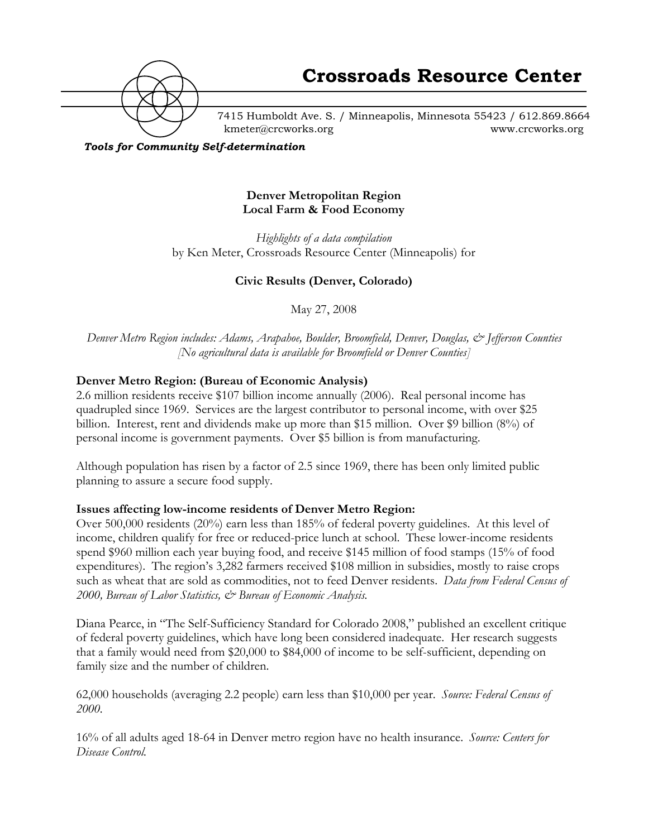

7415 Humboldt Ave. S. / Minneapolis, Minnesota 55423 / 612.869.8664 kmeter@crcworks.org www.crcworks.org

*Tools for Community Self-determination*

# **Denver Metropolitan Region Local Farm & Food Economy**

*Highlights of a data compilation* by Ken Meter, Crossroads Resource Center (Minneapolis) for

# **Civic Results (Denver, Colorado)**

May 27, 2008

*Denver Metro Region includes: Adams, Arapahoe, Boulder, Broomfield, Denver, Douglas, & Jefferson Counties [No agricultural data is available for Broomfield or Denver Counties]*

# **Denver Metro Region: (Bureau of Economic Analysis)**

2.6 million residents receive \$107 billion income annually (2006). Real personal income has quadrupled since 1969. Services are the largest contributor to personal income, with over \$25 billion. Interest, rent and dividends make up more than \$15 million. Over \$9 billion (8%) of personal income is government payments. Over \$5 billion is from manufacturing.

Although population has risen by a factor of 2.5 since 1969, there has been only limited public planning to assure a secure food supply.

# **Issues affecting low-income residents of Denver Metro Region:**

Over 500,000 residents (20%) earn less than 185% of federal poverty guidelines. At this level of income, children qualify for free or reduced-price lunch at school. These lower-income residents spend \$960 million each year buying food, and receive \$145 million of food stamps (15% of food expenditures). The region's 3,282 farmers received \$108 million in subsidies, mostly to raise crops such as wheat that are sold as commodities, not to feed Denver residents. *Data from Federal Census of 2000, Bureau of Labor Statistics, & Bureau of Economic Analysis.*

Diana Pearce, in "The Self-Sufficiency Standard for Colorado 2008," published an excellent critique of federal poverty guidelines, which have long been considered inadequate. Her research suggests that a family would need from \$20,000 to \$84,000 of income to be self-sufficient, depending on family size and the number of children.

62,000 households (averaging 2.2 people) earn less than \$10,000 per year. *Source: Federal Census of 2000.*

16% of all adults aged 18-64 in Denver metro region have no health insurance. *Source: Centers for Disease Control.*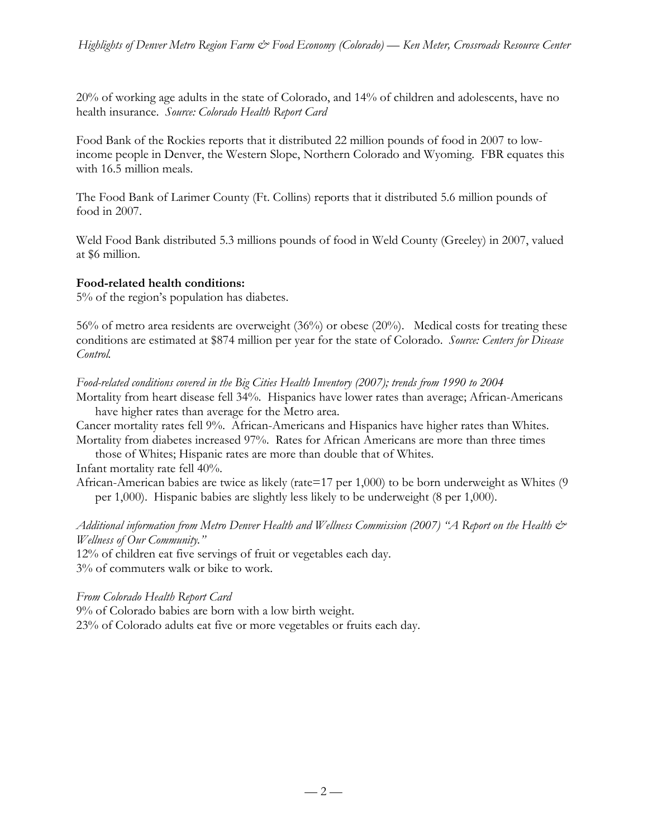20% of working age adults in the state of Colorado, and 14% of children and adolescents, have no health insurance. *Source: Colorado Health Report Card*

Food Bank of the Rockies reports that it distributed 22 million pounds of food in 2007 to lowincome people in Denver, the Western Slope, Northern Colorado and Wyoming. FBR equates this with 16.5 million meals.

The Food Bank of Larimer County (Ft. Collins) reports that it distributed 5.6 million pounds of food in 2007.

Weld Food Bank distributed 5.3 millions pounds of food in Weld County (Greeley) in 2007, valued at \$6 million.

# **Food-related health conditions:**

5% of the region's population has diabetes.

56% of metro area residents are overweight (36%) or obese (20%). Medical costs for treating these conditions are estimated at \$874 million per year for the state of Colorado. *Source: Centers for Disease Control.*

*Food-related conditions covered in the Big Cities Health Inventory (2007); trends from 1990 to 2004*

Mortality from heart disease fell 34%. Hispanics have lower rates than average; African-Americans have higher rates than average for the Metro area.

Cancer mortality rates fell 9%. African-Americans and Hispanics have higher rates than Whites. Mortality from diabetes increased 97%. Rates for African Americans are more than three times

those of Whites; Hispanic rates are more than double that of Whites. Infant mortality rate fell 40%.

African-American babies are twice as likely (rate=17 per 1,000) to be born underweight as Whites (9 per 1,000). Hispanic babies are slightly less likely to be underweight (8 per 1,000).

*Additional information from Metro Denver Health and Wellness Commission (2007) "A Report on the Health & Wellness of Our Community."*

12% of children eat five servings of fruit or vegetables each day. 3% of commuters walk or bike to work.

*From Colorado Health Report Card*

9% of Colorado babies are born with a low birth weight.

23% of Colorado adults eat five or more vegetables or fruits each day.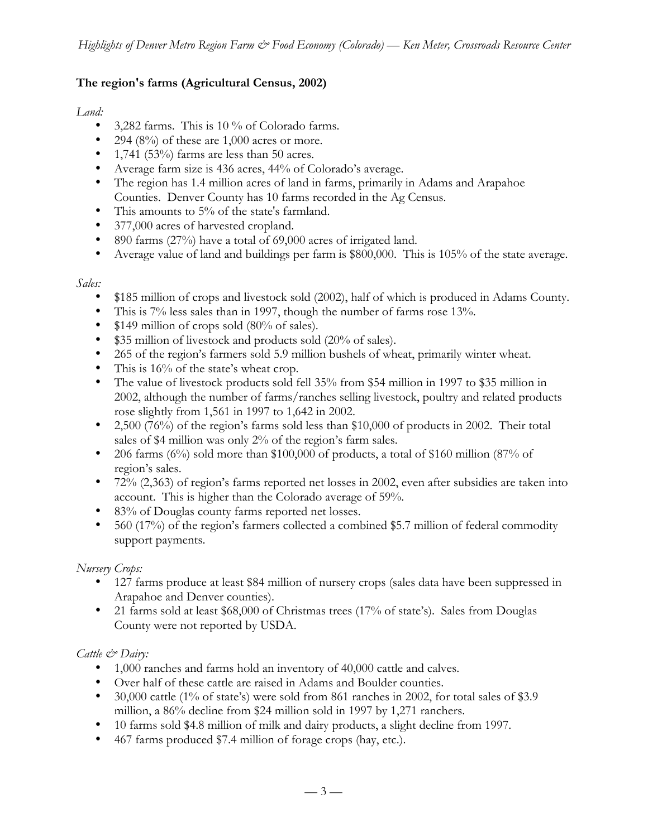# **The region's farms (Agricultural Census, 2002)**

#### *Land:*

3,282 farms. This is 10 % of Colorado farms. 294 (8%) of these are  $1,000$  acres or more. 1,741 (53%) farms are less than 50 acres. Average farm size is 436 acres, 44% of Colorado's average. The region has 1.4 million acres of land in farms, primarily in Adams and Arapahoe Counties. Denver County has 10 farms recorded in the Ag Census. This amounts to 5% of the state's farmland. 377,000 acres of harvested cropland. 890 farms (27%) have a total of 69,000 acres of irrigated land. Average value of land and buildings per farm is \$800,000. This is 105% of the state average.

# *Sales:*

\$185 million of crops and livestock sold (2002), half of which is produced in Adams County. This is 7% less sales than in 1997, though the number of farms rose 13%.

\$149 million of crops sold (80% of sales).

\$35 million of livestock and products sold (20% of sales).

265 of the region's farmers sold 5.9 million bushels of wheat, primarily winter wheat. This is  $16\%$  of the state's wheat crop.

The value of livestock products sold fell 35% from \$54 million in 1997 to \$35 million in 2002, although the number of farms/ranches selling livestock, poultry and related products rose slightly from 1,561 in 1997 to 1,642 in 2002.

2,500 (76%) of the region's farms sold less than \$10,000 of products in 2002. Their total sales of \$4 million was only 2% of the region's farm sales.

206 farms  $(6\%)$  sold more than \$100,000 of products, a total of \$160 million  $(87\%$  of region's sales.

72% (2,363) of region's farms reported net losses in 2002, even after subsidies are taken into account. This is higher than the Colorado average of 59%.

83% of Douglas county farms reported net losses.

560 (17%) of the region's farmers collected a combined \$5.7 million of federal commodity support payments.

# *Nursery Crops:*

127 farms produce at least \$84 million of nursery crops (sales data have been suppressed in Arapahoe and Denver counties).

21 farms sold at least \$68,000 of Christmas trees (17% of state's). Sales from Douglas County were not reported by USDA.

# *Cattle & Dairy:*

1,000 ranches and farms hold an inventory of 40,000 cattle and calves.

Over half of these cattle are raised in Adams and Boulder counties.

30,000 cattle (1% of state's) were sold from 861 ranches in 2002, for total sales of \$3.9

million, a 86% decline from \$24 million sold in 1997 by 1,271 ranchers.

10 farms sold \$4.8 million of milk and dairy products, a slight decline from 1997.

467 farms produced \$7.4 million of forage crops (hay, etc.).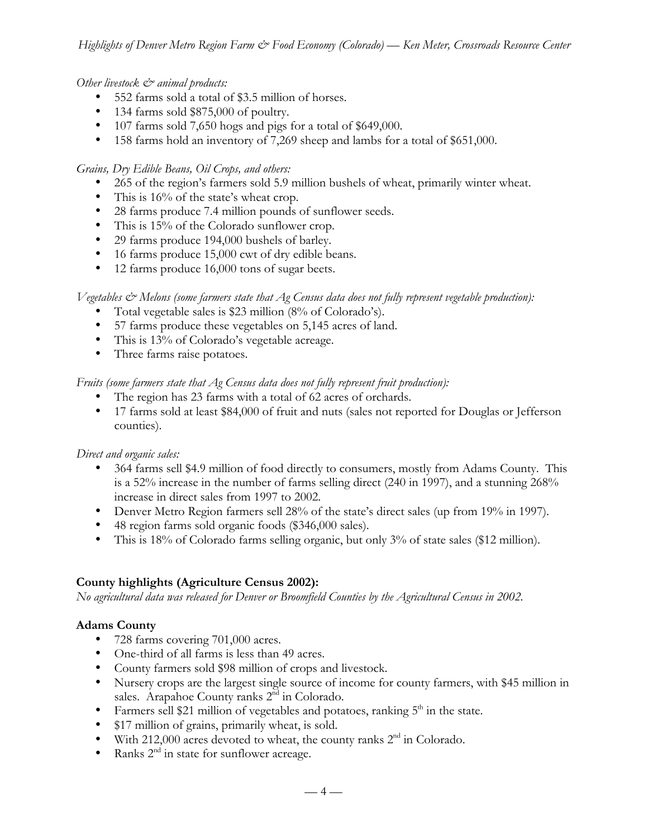*Other livestock & animal products:*

552 farms sold a total of \$3.5 million of horses.

134 farms sold \$875,000 of poultry.

107 farms sold 7,650 hogs and pigs for a total of \$649,000.

158 farms hold an inventory of 7,269 sheep and lambs for a total of \$651,000.

*Grains, Dry Edible Beans, Oil Crops, and others:*

265 of the region's farmers sold 5.9 million bushels of wheat, primarily winter wheat. This is  $16\%$  of the state's wheat crop. 28 farms produce 7.4 million pounds of sunflower seeds. This is 15% of the Colorado sunflower crop. 29 farms produce 194,000 bushels of barley. 16 farms produce 15,000 cwt of dry edible beans. 12 farms produce 16,000 tons of sugar beets.

*Vegetables & Melons (some farmers state that Ag Census data does not fully represent vegetable production):*

Total vegetable sales is \$23 million (8% of Colorado's). 57 farms produce these vegetables on 5,145 acres of land. This is 13% of Colorado's vegetable acreage. Three farms raise potatoes.

*Fruits (some farmers state that Ag Census data does not fully represent fruit production):*

The region has 23 farms with a total of 62 acres of orchards.

17 farms sold at least \$84,000 of fruit and nuts (sales not reported for Douglas or Jefferson counties).

*Direct and organic sales:*

364 farms sell \$4.9 million of food directly to consumers, mostly from Adams County. This is a 52% increase in the number of farms selling direct (240 in 1997), and a stunning 268% increase in direct sales from 1997 to 2002.

Denver Metro Region farmers sell 28% of the state's direct sales (up from 19% in 1997). 48 region farms sold organic foods (\$346,000 sales).

This is 18% of Colorado farms selling organic, but only 3% of state sales (\$12 million).

# **County highlights (Agriculture Census 2002):**

*No agricultural data was released for Denver or Broomfield Counties by the Agricultural Census in 2002.*

# **Adams County**

728 farms covering 701,000 acres.

One-third of all farms is less than 49 acres.

County farmers sold \$98 million of crops and livestock.

Nursery crops are the largest single source of income for county farmers, with \$45 million in sales. Arapahoe County ranks 2<sup>nd</sup> in Colorado.

Farmers sell \$21 million of vegetables and potatoes, ranking  $5<sup>th</sup>$  in the state.

\$17 million of grains, primarily wheat, is sold.

With 212,000 acres devoted to wheat, the county ranks  $2<sup>nd</sup>$  in Colorado.

Ranks  $2<sup>nd</sup>$  in state for sunflower acreage.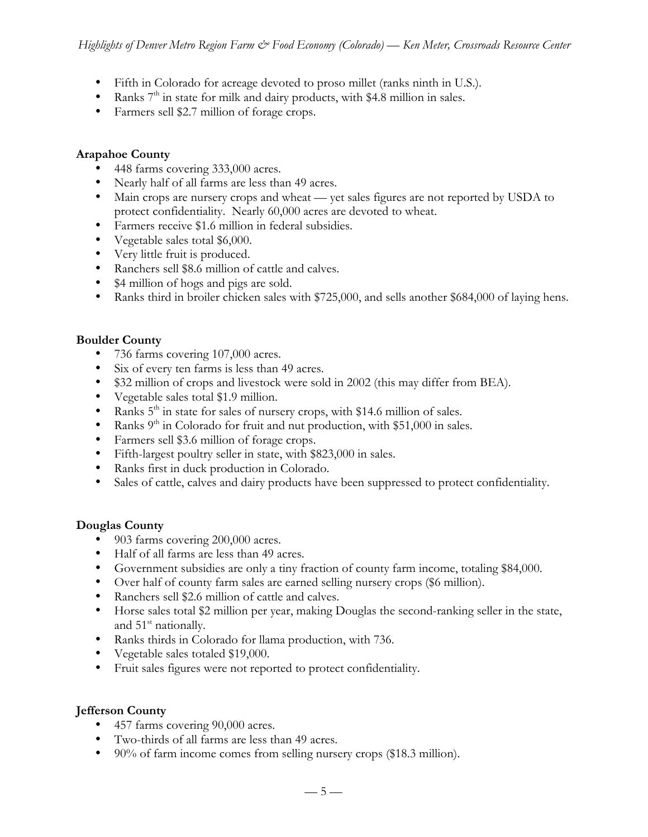Fifth in Colorado for acreage devoted to proso millet (ranks ninth in U.S.). Ranks  $7<sup>th</sup>$  in state for milk and dairy products, with \$4.8 million in sales. Farmers sell \$2.7 million of forage crops.

# **Arapahoe County**

448 farms covering 333,000 acres. Nearly half of all farms are less than 49 acres. Main crops are nursery crops and wheat —!yet sales figures are not reported by USDA to protect confidentiality. Nearly 60,000 acres are devoted to wheat. Farmers receive \$1.6 million in federal subsidies. Vegetable sales total \$6,000. Very little fruit is produced. Ranchers sell \$8.6 million of cattle and calves. \$4 million of hogs and pigs are sold. Ranks third in broiler chicken sales with \$725,000, and sells another \$684,000 of laying hens.

# **Boulder County**

736 farms covering 107,000 acres. Six of every ten farms is less than 49 acres. \$32 million of crops and livestock were sold in 2002 (this may differ from BEA). Vegetable sales total \$1.9 million. Ranks  $5<sup>th</sup>$  in state for sales of nursery crops, with \$14.6 million of sales. Ranks  $9<sup>th</sup>$  in Colorado for fruit and nut production, with \$51,000 in sales. Farmers sell \$3.6 million of forage crops. Fifth-largest poultry seller in state, with \$823,000 in sales. Ranks first in duck production in Colorado. Sales of cattle, calves and dairy products have been suppressed to protect confidentiality.

# **Douglas County**

903 farms covering 200,000 acres.

Half of all farms are less than 49 acres.

Government subsidies are only a tiny fraction of county farm income, totaling \$84,000.

Over half of county farm sales are earned selling nursery crops (\$6 million).

Ranchers sell \$2.6 million of cattle and calves.

Horse sales total \$2 million per year, making Douglas the second-ranking seller in the state, and  $51<sup>st</sup>$  nationally.

Ranks thirds in Colorado for llama production, with 736.

Vegetable sales totaled \$19,000.

Fruit sales figures were not reported to protect confidentiality.

# **Jefferson County**

457 farms covering 90,000 acres.

Two-thirds of all farms are less than 49 acres.

90% of farm income comes from selling nursery crops (\$18.3 million).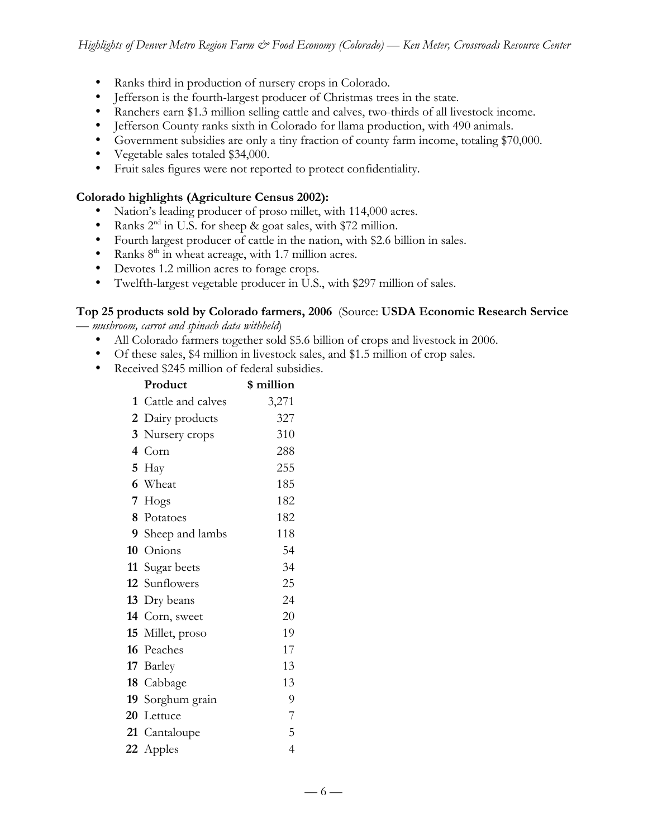Ranks third in production of nursery crops in Colorado. Jefferson is the fourth-largest producer of Christmas trees in the state. Ranchers earn \$1.3 million selling cattle and calves, two-thirds of all livestock income. Jefferson County ranks sixth in Colorado for llama production, with 490 animals. Government subsidies are only a tiny fraction of county farm income, totaling \$70,000. Vegetable sales totaled \$34,000. Fruit sales figures were not reported to protect confidentiality.

# **Colorado highlights (Agriculture Census 2002):**

Nation's leading producer of proso millet, with 114,000 acres. Ranks  $2<sup>nd</sup>$  in U.S. for sheep & goat sales, with \$72 million. Fourth largest producer of cattle in the nation, with \$2.6 billion in sales. Ranks  $8<sup>th</sup>$  in wheat acreage, with 1.7 million acres. Devotes 1.2 million acres to forage crops. Twelfth-largest vegetable producer in U.S., with \$297 million of sales.

#### **Top 25 products sold by Colorado farmers, 2006** (Source: **USDA Economic Research Service** — *mushroom, carrot and spinach data withheld*)

All Colorado farmers together sold \$5.6 billion of crops and livestock in 2006. Of these sales, \$4 million in livestock sales, and \$1.5 million of crop sales. Received \$245 million of federal subsidies.

|                         | Product           | \$ million     |
|-------------------------|-------------------|----------------|
| 1                       | Cattle and calves | 3,271          |
| 2                       | Dairy products    | 327            |
| 3                       | Nursery crops     | 310            |
| $\overline{\mathbf{4}}$ | Corn              | 288            |
| 5                       | Hay               | 255            |
|                         | 6 Wheat           | 185            |
| 7                       | Hogs              | 182            |
|                         | 8 Potatoes        | 182            |
|                         | 9 Sheep and lambs | 118            |
| 10                      | Onions            | 54             |
|                         | 11 Sugar beets    | 34             |
|                         | 12 Sunflowers     | 25             |
|                         | 13 Dry beans      | 24             |
|                         | 14 Corn, sweet    | 20             |
|                         | 15 Millet, proso  | 19             |
|                         | 16 Peaches        | 17             |
|                         | 17 Barley         | 13             |
|                         | 18 Cabbage        | 13             |
|                         | 19 Sorghum grain  | 9              |
|                         | 20 Lettuce        | 7              |
|                         | 21 Cantaloupe     | 5              |
|                         | 22 Apples         | $\overline{4}$ |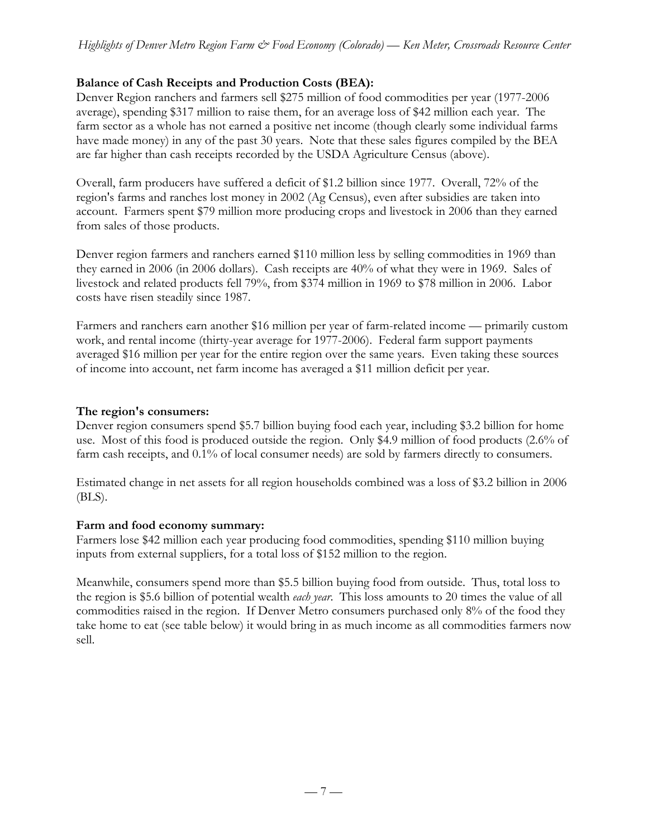# **Balance of Cash Receipts and Production Costs (BEA):**

Denver Region ranchers and farmers sell \$275 million of food commodities per year (1977-2006 average), spending \$317 million to raise them, for an average loss of \$42 million each year. The farm sector as a whole has not earned a positive net income (though clearly some individual farms have made money) in any of the past 30 years. Note that these sales figures compiled by the BEA are far higher than cash receipts recorded by the USDA Agriculture Census (above).

Overall, farm producers have suffered a deficit of \$1.2 billion since 1977. Overall, 72% of the region's farms and ranches lost money in 2002 (Ag Census), even after subsidies are taken into account. Farmers spent \$79 million more producing crops and livestock in 2006 than they earned from sales of those products.

Denver region farmers and ranchers earned \$110 million less by selling commodities in 1969 than they earned in 2006 (in 2006 dollars). Cash receipts are 40% of what they were in 1969. Sales of livestock and related products fell 79%, from \$374 million in 1969 to \$78 million in 2006. Labor costs have risen steadily since 1987.

Farmers and ranchers earn another \$16 million per year of farm-related income — primarily custom work, and rental income (thirty-year average for 1977-2006). Federal farm support payments averaged \$16 million per year for the entire region over the same years. Even taking these sources of income into account, net farm income has averaged a \$11 million deficit per year.

# **The region's consumers:**

Denver region consumers spend \$5.7 billion buying food each year, including \$3.2 billion for home use. Most of this food is produced outside the region. Only \$4.9 million of food products (2.6% of farm cash receipts, and 0.1% of local consumer needs) are sold by farmers directly to consumers.

Estimated change in net assets for all region households combined was a loss of \$3.2 billion in 2006 (BLS).

# **Farm and food economy summary:**

Farmers lose \$42 million each year producing food commodities, spending \$110 million buying inputs from external suppliers, for a total loss of \$152 million to the region.

Meanwhile, consumers spend more than \$5.5 billion buying food from outside. Thus, total loss to the region is \$5.6 billion of potential wealth *each year*. This loss amounts to 20 times the value of all commodities raised in the region. If Denver Metro consumers purchased only 8% of the food they take home to eat (see table below) it would bring in as much income as all commodities farmers now sell.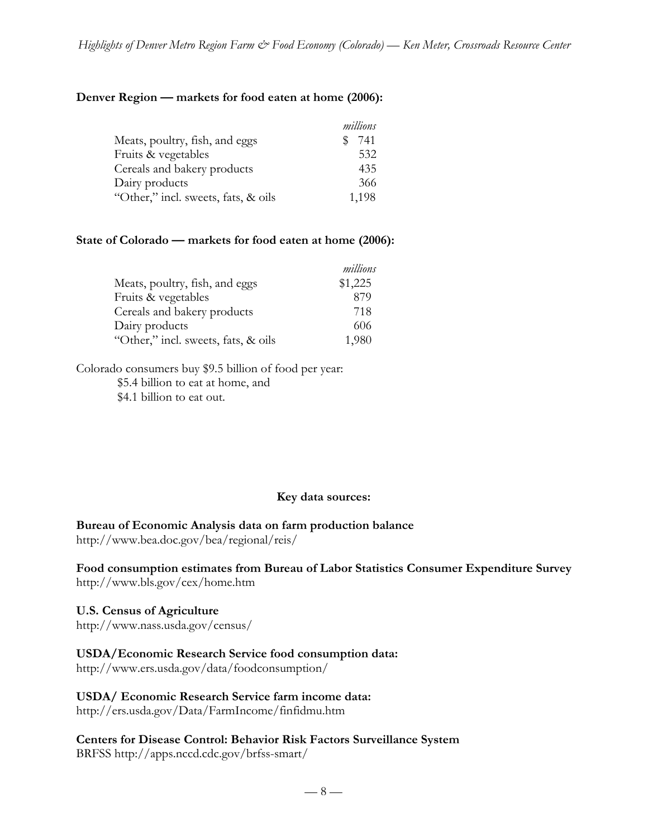*millions*

#### **Denver Region — markets for food eaten at home (2006):**

|                                     | millions |
|-------------------------------------|----------|
| Meats, poultry, fish, and eggs      | 741      |
| Fruits & vegetables                 | 532      |
| Cereals and bakery products         | 435      |
| Dairy products                      | 366      |
| "Other," incl. sweets, fats, & oils | 1,198    |

#### **State of Colorado — markets for food eaten at home (2006):**

|                                     | millions |
|-------------------------------------|----------|
| Meats, poultry, fish, and eggs      | \$1,225  |
| Fruits & vegetables                 | 879      |
| Cereals and bakery products         | 718      |
| Dairy products                      | 606      |
| "Other," incl. sweets, fats, & oils | 1,980    |

Colorado consumers buy \$9.5 billion of food per year: \$5.4 billion to eat at home, and \$4.1 billion to eat out.

#### **Key data sources:**

**Bureau of Economic Analysis data on farm production balance**

http://www.bea.doc.gov/bea/regional/reis/

**Food consumption estimates from Bureau of Labor Statistics Consumer Expenditure Survey** http://www.bls.gov/cex/home.htm

**U.S. Census of Agriculture** http://www.nass.usda.gov/census/

# **USDA/Economic Research Service food consumption data:**

http://www.ers.usda.gov/data/foodconsumption/

**USDA/ Economic Research Service farm income data:**

http://ers.usda.gov/Data/FarmIncome/finfidmu.htm

**Centers for Disease Control: Behavior Risk Factors Surveillance System** BRFSS http://apps.nccd.cdc.gov/brfss-smart/